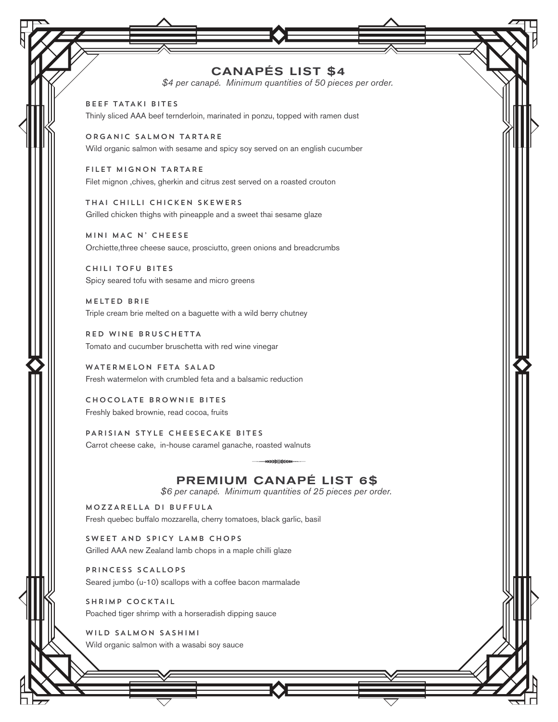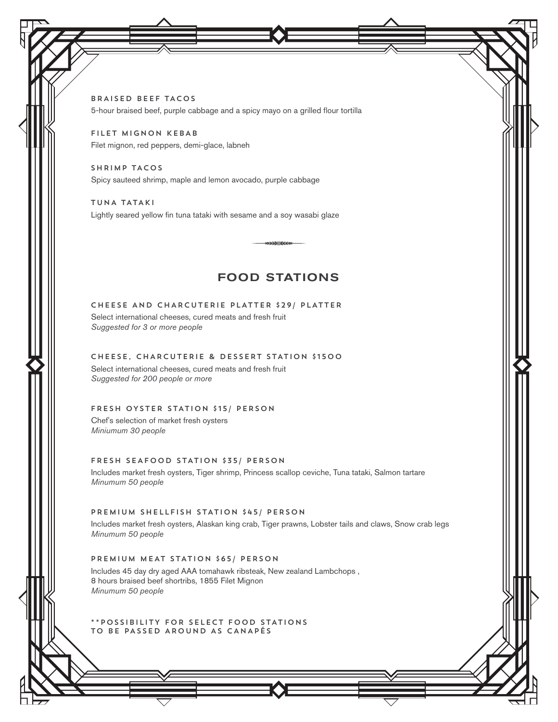BRAISED BEEF TACOS 5-hour braised beef, purple cabbage and a spicy mayo on a grilled flour tortilla

FILET MIGNON KEBAB Filet mignon, red peppers, demi-glace, labneh

SHRIMP TACOS Spicy sauteed shrimp, maple and lemon avocado, purple cabbage

TUNA TATAKI Lightly seared yellow fin tuna tataki with sesame and a soy wasabi glaze

# **FOOD STATIONS**

»»»}†{{€€

## CHEESE AND CHARCUTERIE PLATTER \$29/ PLATTER

Select international cheeses, cured meats and fresh fruit *Suggested for 3 or more people*

## CHEESE, CHARCUTERIE & DESSERT STATION \$1500

Select international cheeses, cured meats and fresh fruit *Suggested for 200 people or more*

#### FRESH OYSTER STATION \$15/ PERSON

Chef's selection of market fresh oysters *Miniumum 30 people*

#### FRESH SEAFOOD STATION \$35/ PERSON

Includes market fresh oysters, Tiger shrimp, Princess scallop ceviche, Tuna tataki, Salmon tartare *Minumum 50 people*

### PREMIUM SHELLFISH STATION \$45/ PERSON

Includes market fresh oysters, Alaskan king crab, Tiger prawns, Lobster tails and claws, Snow crab legs *Minumum 50 people*

# PREMIUM MEAT STATION \$65/ PERSON

Includes 45 day dry aged AAA tomahawk ribsteak, New zealand Lambchops , 8 hours braised beef shortribs, 1855 Filet Mignon *Minumum 50 people*

\*\*POSSIBILITY FOR SELECT FOOD STATIONS TO BE PASSED AROUND AS CANAPÉS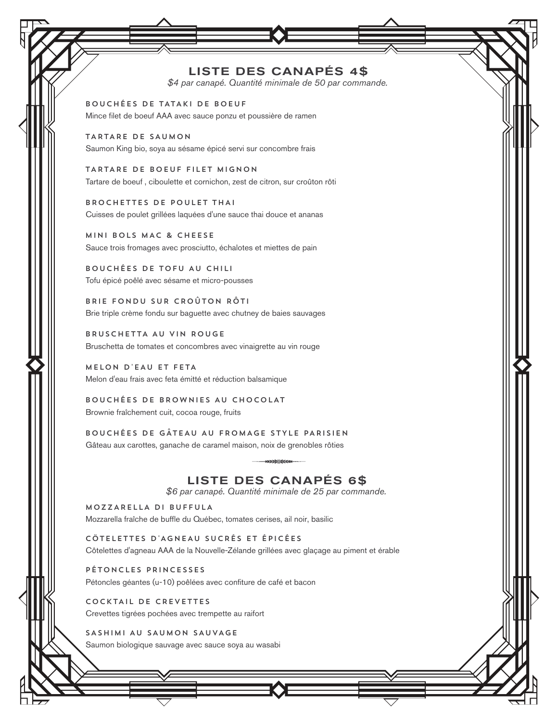